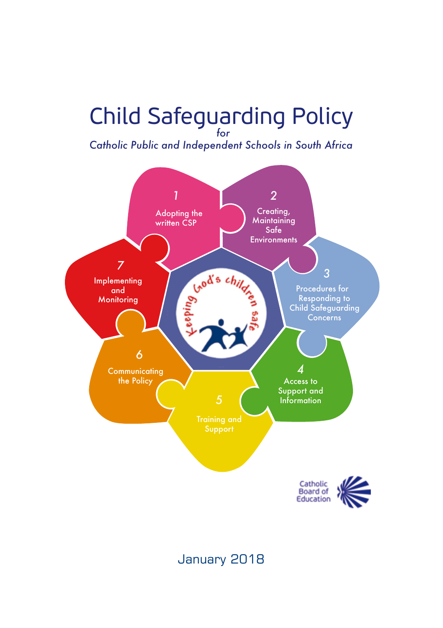# Child Safeguarding Policy *for*

*Catholic Public and Independent Schools in South Africa*



### January 2018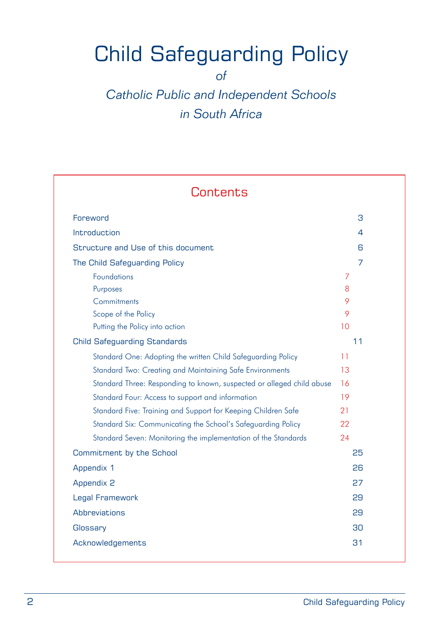## Child Safeguarding Policy

*of*

### *Catholic Public and Independent Schools in South Africa*

| Contents                                                              |                |
|-----------------------------------------------------------------------|----------------|
| Foreword                                                              | 3              |
| Introduction                                                          | 4              |
| Structure and Use of this document                                    | 6              |
| The Child Safeguarding Policy                                         | $\overline{7}$ |
| <b>Foundations</b>                                                    | 7              |
| Purposes                                                              | 8              |
| Commitments                                                           | 9              |
| Scope of the Policy                                                   | 9              |
| Putting the Policy into action                                        | 10             |
| <b>Child Safeguarding Standards</b>                                   | 11             |
| Standard One: Adopting the written Child Safeguarding Policy          | 11             |
| Standard Two: Creating and Maintaining Safe Environments              | 13             |
| Standard Three: Responding to known, suspected or alleged child abuse | 16             |
| Standard Four: Access to support and information                      | 19             |
| Standard Five: Training and Support for Keeping Children Safe         | 21             |
| Standard Six: Communicating the School's Safeguarding Policy          | 22             |
| Standard Seven: Monitoring the implementation of the Standards        | 24             |
| Commitment by the School                                              | 25             |
| Appendix 1                                                            | 26             |
| <b>Appendix 2</b>                                                     | 27             |
| Legal Framework                                                       | 29             |
| Abbreviations                                                         | 29             |
| Glossary                                                              | 30             |
| Acknowledgements                                                      | 31             |
|                                                                       |                |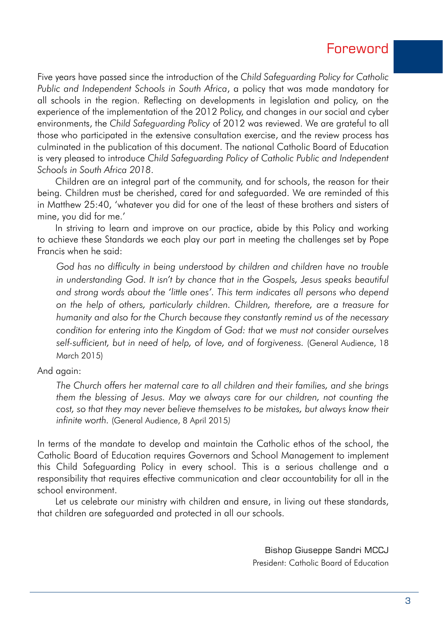### Foreword

Five years have passed since the introduction of the *Child Safeguarding Policy for Catholic Public and Independent Schools in South Africa*, a policy that was made mandatory for all schools in the region. Reflecting on developments in legislation and policy, on the experience of the implementation of the 2012 Policy, and changes in our social and cyber environments, the *Child Safeguarding Policy* of 2012 was reviewed. We are grateful to all those who participated in the extensive consultation exercise, and the review process has culminated in the publication of this document. The national Catholic Board of Education is very pleased to introduce *Child Safeguarding Policy of Catholic Public and Independent Schools in South Africa 2018*.

Children are an integral part of the community, and for schools, the reason for their being. Children must be cherished, cared for and safeguarded. We are reminded of this in Matthew 25:40, 'whatever you did for one of the least of these brothers and sisters of mine, you did for me.'

In striving to learn and improve on our practice, abide by this Policy and working to achieve these Standards we each play our part in meeting the challenges set by Pope Francis when he said:

*God has no difficulty in being understood by children and children have no trouble*  in understanding God. It isn't by chance that in the Gospels, Jesus speaks beautiful *and strong words about the 'little ones'. This term indicates all persons who depend on the help of others, particularly children. Children, therefore, are a treasure for humanity and also for the Church because they constantly remind us of the necessary condition for entering into the Kingdom of God: that we must not consider ourselves self-sufficient, but in need of help, of love, and of forgiveness.* (General Audience, 18 March 2015)

And again:

*The Church offers her maternal care to all children and their families, and she brings them the blessing of Jesus. May we always care for our children, not counting the cost, so that they may never believe themselves to be mistakes, but always know their infinite worth.* (General Audience, 8 April 2015*)*

In terms of the mandate to develop and maintain the Catholic ethos of the school, the Catholic Board of Education requires Governors and School Management to implement this Child Safeguarding Policy in every school. This is a serious challenge and a responsibility that requires effective communication and clear accountability for all in the school environment.

Let us celebrate our ministry with children and ensure, in living out these standards, that children are safeguarded and protected in all our schools.

> Bishop Giuseppe Sandri MCCJ President: Catholic Board of Education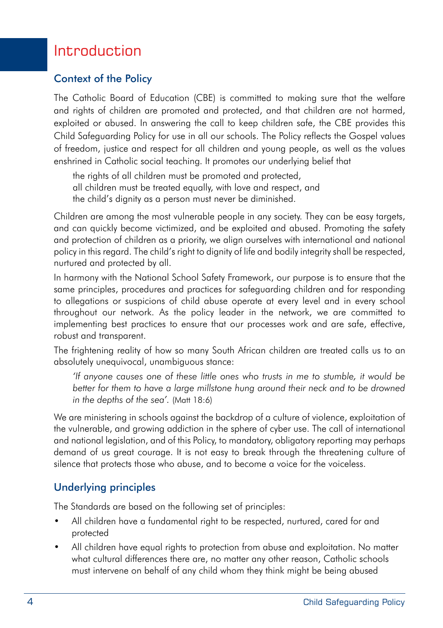### Introduction

#### Context of the Policy

The Catholic Board of Education (CBE) is committed to making sure that the welfare and rights of children are promoted and protected, and that children are not harmed, exploited or abused. In answering the call to keep children safe, the CBE provides this Child Safeguarding Policy for use in all our schools. The Policy reflects the Gospel values of freedom, justice and respect for all children and young people, as well as the values enshrined in Catholic social teaching. It promotes our underlying belief that

the rights of all children must be promoted and protected, all children must be treated equally, with love and respect, and the child's dignity as a person must never be diminished.

Children are among the most vulnerable people in any society. They can be easy targets, and can quickly become victimized, and be exploited and abused. Promoting the safety and protection of children as a priority, we align ourselves with international and national policy in this regard. The child's right to dignity of life and bodily integrity shall be respected, nurtured and protected by all.

In harmony with the National School Safety Framework, our purpose is to ensure that the same principles, procedures and practices for safeguarding children and for responding to allegations or suspicions of child abuse operate at every level and in every school throughout our network. As the policy leader in the network, we are committed to implementing best practices to ensure that our processes work and are safe, effective, robust and transparent.

The frightening reality of how so many South African children are treated calls us to an absolutely unequivocal, unambiguous stance:

*'If anyone causes one of these little ones who trusts in me to stumble, it would be better for them to have a large millstone hung around their neck and to be drowned in the depths of the sea'.* (Matt 18:6)

We are ministering in schools against the backdrop of a culture of violence, exploitation of the vulnerable, and growing addiction in the sphere of cyber use. The call of international and national legislation, and of this Policy, to mandatory, obligatory reporting may perhaps demand of us great courage. It is not easy to break through the threatening culture of silence that protects those who abuse, and to become a voice for the voiceless.

#### Underlying principles

The Standards are based on the following set of principles:

- All children have a fundamental right to be respected, nurtured, cared for and protected
- All children have equal rights to protection from abuse and exploitation. No matter what cultural differences there are, no matter any other reason, Catholic schools must intervene on behalf of any child whom they think might be being abused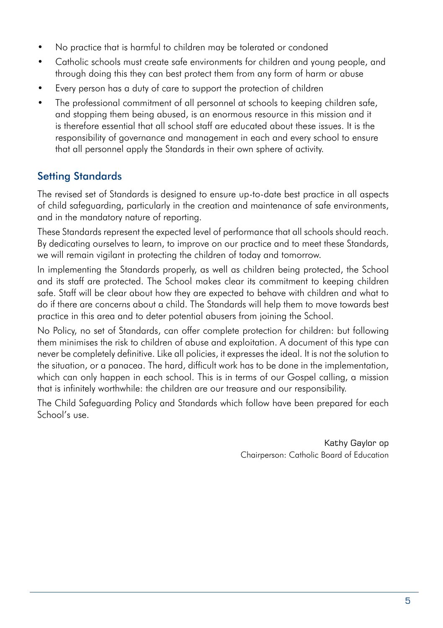- No practice that is harmful to children may be tolerated or condoned
- • Catholic schools must create safe environments for children and young people, and through doing this they can best protect them from any form of harm or abuse
- Every person has a duty of care to support the protection of children
- The professional commitment of all personnel at schools to keeping children safe, and stopping them being abused, is an enormous resource in this mission and it is therefore essential that all school staff are educated about these issues. It is the responsibility of governance and management in each and every school to ensure that all personnel apply the Standards in their own sphere of activity.

#### Setting Standards

The revised set of Standards is designed to ensure up-to-date best practice in all aspects of child safeguarding, particularly in the creation and maintenance of safe environments, and in the mandatory nature of reporting.

These Standards represent the expected level of performance that all schools should reach. By dedicating ourselves to learn, to improve on our practice and to meet these Standards, we will remain vigilant in protecting the children of today and tomorrow.

In implementing the Standards properly, as well as children being protected, the School and its staff are protected. The School makes clear its commitment to keeping children safe. Staff will be clear about how they are expected to behave with children and what to do if there are concerns about a child. The Standards will help them to move towards best practice in this area and to deter potential abusers from joining the School.

No Policy, no set of Standards, can offer complete protection for children: but following them minimises the risk to children of abuse and exploitation. A document of this type can never be completely definitive. Like all policies, it expresses the ideal. It is not the solution to the situation, or a panacea. The hard, difficult work has to be done in the implementation, which can only happen in each school. This is in terms of our Gospel calling, a mission that is infinitely worthwhile: the children are our treasure and our responsibility.

The Child Safeguarding Policy and Standards which follow have been prepared for each School's use.

> Kathy Gaylor op Chairperson: Catholic Board of Education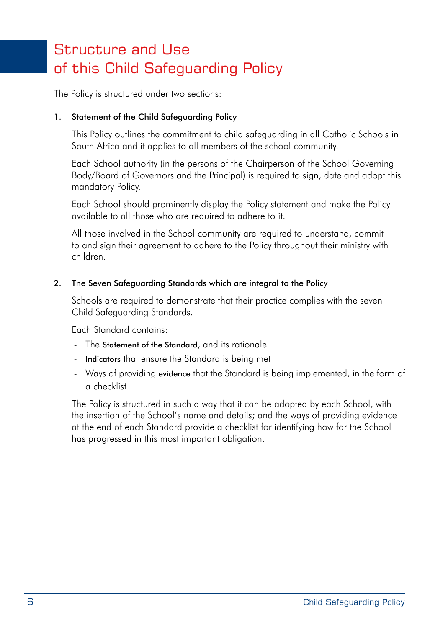### Structure and Use of this Child Safeguarding Policy

The Policy is structured under two sections:

#### 1. Statement of the Child Safeguarding Policy

 This Policy outlines the commitment to child safeguarding in all Catholic Schools in South Africa and it applies to all members of the school community.

 Each School authority (in the persons of the Chairperson of the School Governing Body/Board of Governors and the Principal) is required to sign, date and adopt this mandatory Policy.

 Each School should prominently display the Policy statement and make the Policy available to all those who are required to adhere to it.

 All those involved in the School community are required to understand, commit to and sign their agreement to adhere to the Policy throughout their ministry with children.

#### 2. The Seven Safeguarding Standards which are integral to the Policy

 Schools are required to demonstrate that their practice complies with the seven Child Safeguarding Standards.

 Each Standard contains:

- The Statement of the Standard, and its rationale
- Indicators that ensure the Standard is being met
- Ways of providing evidence that the Standard is being implemented, in the form of a checklist

 The Policy is structured in such a way that it can be adopted by each School, with the insertion of the School's name and details; and the ways of providing evidence at the end of each Standard provide a checklist for identifying how far the School has progressed in this most important obligation.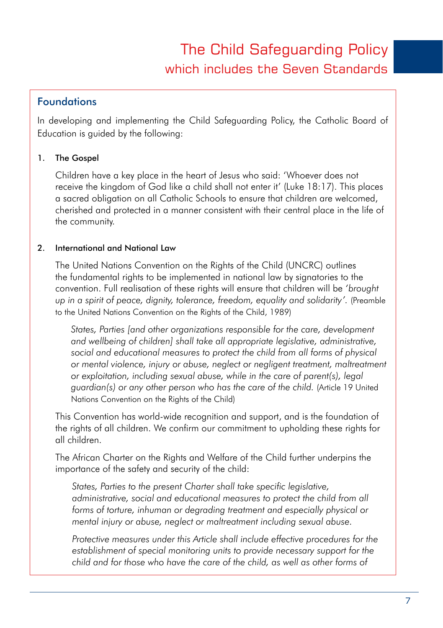### The Child Safeguarding Policy which includes the Seven Standards

#### Foundations

In developing and implementing the Child Safeguarding Policy, the Catholic Board of Education is guided by the following:

#### 1. The Gospel

 Children have a key place in the heart of Jesus who said: 'Whoever does not receive the kingdom of God like a child shall not enter it' (Luke 18:17). This places a sacred obligation on all Catholic Schools to ensure that children are welcomed, cherished and protected in a manner consistent with their central place in the life of the community.

#### 2. International and National Law

 The United Nations Convention on the Rights of the Child (UNCRC) outlines the fundamental rights to be implemented in national law by signatories to the convention. Full realisation of these rights will ensure that children will be *'brought up in a spirit of peace, dignity, tolerance, freedom, equality and solidarity'.* (Preamble to the United Nations Convention on the Rights of the Child, 1989)

*States, Parties [and other organizations responsible for the care, development and wellbeing of children] shall take all appropriate legislative, administrative, social and educational measures to protect the child from all forms of physical or mental violence, injury or abuse, neglect or negligent treatment, maltreatment or exploitation, including sexual abuse, while in the care of parent(s), legal guardian(s) or any other person who has the care of the child.* (Article 19 United Nations Convention on the Rights of the Child)

 This Convention has world-wide recognition and support, and is the foundation of the rights of all children. We confirm our commitment to upholding these rights for all children.

 The African Charter on the Rights and Welfare of the Child further underpins the importance of the safety and security of the child:

*States, Parties to the present Charter shall take specific legislative, administrative, social and educational measures to protect the child from all*  forms of torture, inhuman or degrading treatment and especially physical or *mental injury or abuse, neglect or maltreatment including sexual abuse.*

*Protective measures under this Article shall include effective procedures for the establishment of special monitoring units to provide necessary support for the child and for those who have the care of the child, as well as other forms of*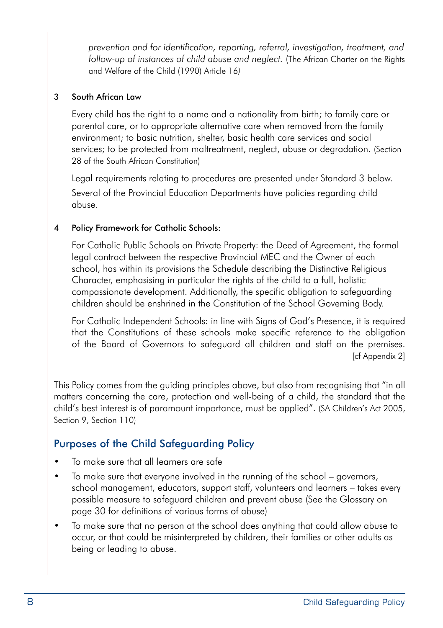*prevention and for identification, reporting, referral, investigation, treatment, and follow-up of instances of child abuse and neglect.* (The African Charter on the Rights and Welfare of the Child (1990) Article 16*)*

#### 3 South African Law

 Every child has the right to a name and a nationality from birth; to family care or parental care, or to appropriate alternative care when removed from the family environment; to basic nutrition, shelter, basic health care services and social services; to be protected from maltreatment, neglect, abuse or degradation. (Section 28 of the South African Constitution)

 Legal requirements relating to procedures are presented under Standard 3 below. Several of the Provincial Education Departments have policies regarding child abuse.

#### 4 Policy Framework for Catholic Schools:

 For Catholic Public Schools on Private Property: the Deed of Agreement, the formal legal contract between the respective Provincial MEC and the Owner of each school, has within its provisions the Schedule describing the Distinctive Religious Character, emphasising in particular the rights of the child to a full, holistic compassionate development. Additionally, the specific obligation to safeguarding children should be enshrined in the Constitution of the School Governing Body.

 For Catholic Independent Schools: in line with Signs of God's Presence, it is required that the Constitutions of these schools make specific reference to the obligation of the Board of Governors to safeguard all children and staff on the premises. [cf Appendix 2]

This Policy comes from the guiding principles above, but also from recognising that "in all matters concerning the care, protection and well-being of a child, the standard that the child's best interest is of paramount importance, must be applied". (SA Children's Act 2005, Section 9, Section 110)

#### Purposes of the Child Safeguarding Policy

- To make sure that all learners are safe
- To make sure that everyone involved in the running of the school governors, school management, educators, support staff, volunteers and learners – takes every possible measure to safeguard children and prevent abuse (See the Glossary on page 30 for definitions of various forms of abuse)
- To make sure that no person at the school does anything that could allow abuse to occur, or that could be misinterpreted by children, their families or other adults as being or leading to abuse.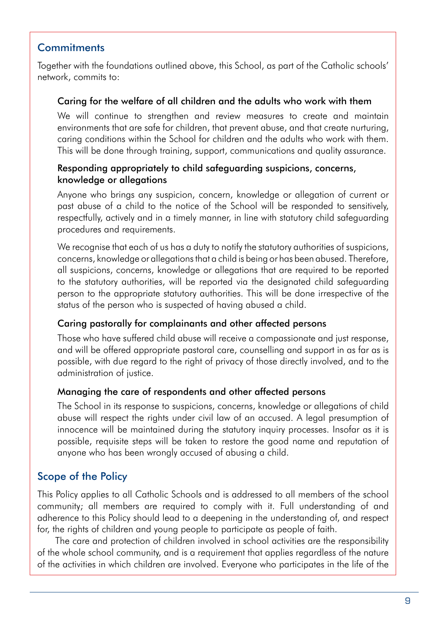#### **Commitments**

Together with the foundations outlined above, this School, as part of the Catholic schools' network, commits to:

#### Caring for the welfare of all children and the adults who work with them

We will continue to strengthen and review measures to create and maintain environments that are safe for children, that prevent abuse, and that create nurturing, caring conditions within the School for children and the adults who work with them. This will be done through training, support, communications and quality assurance.

#### Responding appropriately to child safeguarding suspicions, concerns, knowledge or allegations

Anyone who brings any suspicion, concern, knowledge or allegation of current or past abuse of a child to the notice of the School will be responded to sensitively, respectfully, actively and in a timely manner, in line with statutory child safeguarding procedures and requirements.

We recognise that each of us has a duty to notify the statutory authorities of suspicions, concerns, knowledge or allegationsthat a child is being or has been abused. Therefore, all suspicions, concerns, knowledge or allegations that are required to be reported to the statutory authorities, will be reported via the designated child safeguarding person to the appropriate statutory authorities. This will be done irrespective of the status of the person who is suspected of having abused a child.

#### Caring pastorally for complainants and other affected persons

Those who have suffered child abuse will receive a compassionate and just response, and will be offered appropriate pastoral care, counselling and support in as far as is possible, with due regard to the right of privacy of those directly involved, and to the administration of justice.

#### Managing the care of respondents and other affected persons

The School in its response to suspicions, concerns, knowledge or allegations of child abuse will respect the rights under civil law of an accused. A legal presumption of innocence will be maintained during the statutory inquiry processes. Insofar as it is possible, requisite steps will be taken to restore the good name and reputation of anyone who has been wrongly accused of abusing a child.

#### Scope of the Policy

This Policy applies to all Catholic Schools and is addressed to all members of the school community; all members are required to comply with it. Full understanding of and adherence to this Policy should lead to a deepening in the understanding of, and respect for, the rights of children and young people to participate as people of faith.

The care and protection of children involved in school activities are the responsibility of the whole school community, and is a requirement that applies regardless of the nature of the activities in which children are involved. Everyone who participates in the life of the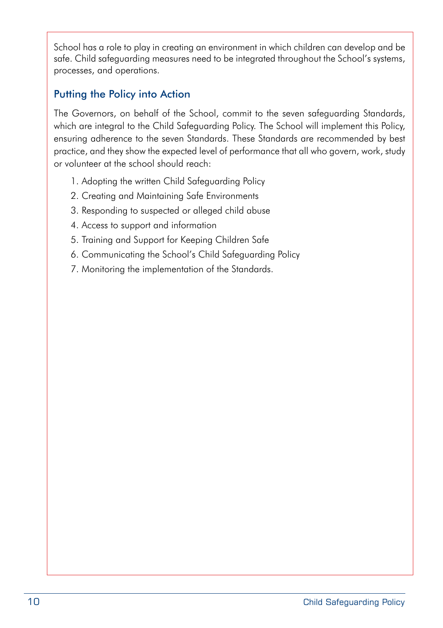School has a role to play in creating an environment in which children can develop and be safe. Child safeguarding measures need to be integrated throughout the School's systems, processes, and operations.

#### Putting the Policy into Action

The Governors, on behalf of the School, commit to the seven safeguarding Standards, which are integral to the Child Safeguarding Policy. The School will implement this Policy, ensuring adherence to the seven Standards. These Standards are recommended by best practice, and they show the expected level of performance that all who govern, work, study or volunteer at the school should reach:

- 1. Adopting the written Child Safeguarding Policy
- 2. Creating and Maintaining Safe Environments
- 3. Responding to suspected or alleged child abuse
- 4. Access to support and information
- 5. Training and Support for Keeping Children Safe
- 6. Communicating the School's Child Safeguarding Policy
- 7. Monitoring the implementation of the Standards.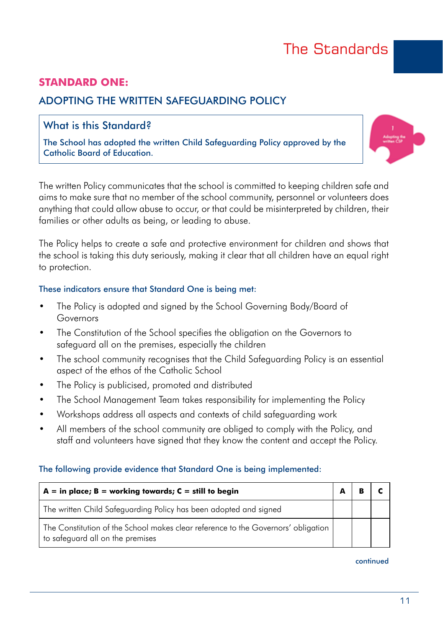### The Standards

#### **STANDARD ONE:**

#### ADOPTING THE WRITTEN SAFEGUARDING POLICY

#### What is this Standard?

The School has adopted the written Child Safeguarding Policy approved by the Catholic Board of Education.



The written Policy communicates that the school is committed to keeping children safe and aims to make sure that no member of the school community, personnel or volunteers does anything that could allow abuse to occur, or that could be misinterpreted by children, their families or other adults as being, or leading to abuse.

The Policy helps to create a safe and protective environment for children and shows that the school is taking this duty seriously, making it clear that all children have an equal right to protection.

#### These indicators ensure that Standard One is being met:

- The Policy is adopted and signed by the School Governing Body/Board of Governors
- The Constitution of the School specifies the obligation on the Governors to safeguard all on the premises, especially the children
- The school community recognises that the Child Safeguarding Policy is an essential aspect of the ethos of the Catholic School
- The Policy is publicised, promoted and distributed
- The School Management Team takes responsibility for implementing the Policy
- Workshops address all aspects and contexts of child safeguarding work
- All members of the school community are obliged to comply with the Policy, and staff and volunteers have signed that they know the content and accept the Policy.

#### The following provide evidence that Standard One is being implemented:

| $A = in place; B = working towards; C = still to begin$                                                               |  |  |
|-----------------------------------------------------------------------------------------------------------------------|--|--|
| The written Child Safeguarding Policy has been adopted and signed                                                     |  |  |
| The Constitution of the School makes clear reference to the Governors' obligation<br>to safeguard all on the premises |  |  |

#### continued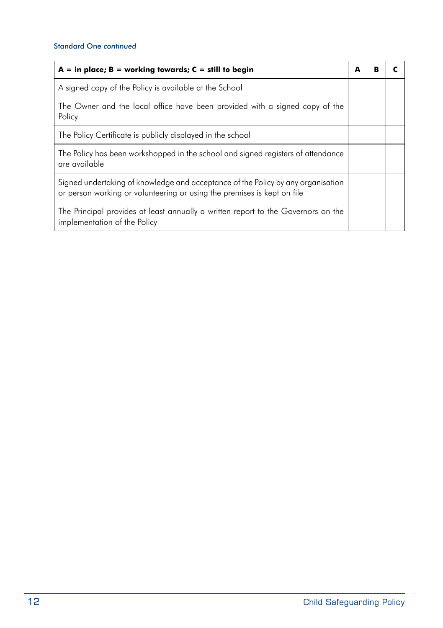#### Standard One *continued*

| $A = in place; B = working towards; C = still to begin$                                                                                                     | A | п |  |
|-------------------------------------------------------------------------------------------------------------------------------------------------------------|---|---|--|
| A signed copy of the Policy is available at the School                                                                                                      |   |   |  |
| The Owner and the local office have been provided with a signed copy of the<br>Policy                                                                       |   |   |  |
| The Policy Certificate is publicly displayed in the school                                                                                                  |   |   |  |
| The Policy has been workshopped in the school and signed registers of attendance<br>are available                                                           |   |   |  |
| Signed undertaking of knowledge and acceptance of the Policy by any organisation<br>or person working or volunteering or using the premises is kept on file |   |   |  |
| The Principal provides at least annually a written report to the Governors on the<br>implementation of the Policy                                           |   |   |  |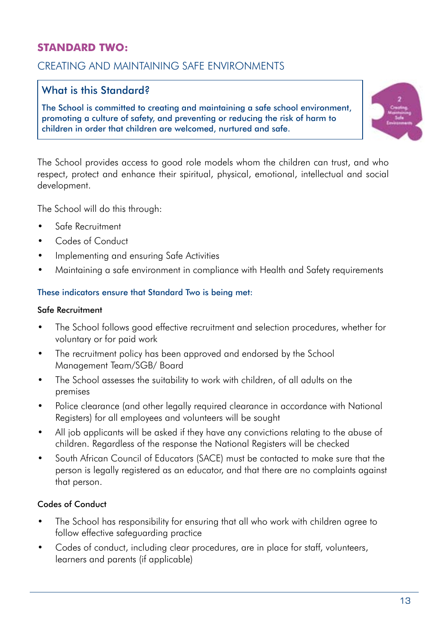#### **STANDARD TWO:**

#### CREATING AND MAINTAINING SAFE ENVIRONMENTS

#### What is this Standard?

The School is committed to creating and maintaining a safe school environment, promoting a culture of safety, and preventing or reducing the risk of harm to children in order that children are welcomed, nurtured and safe.



The School provides access to good role models whom the children can trust, and who respect, protect and enhance their spiritual, physical, emotional, intellectual and social development.

The School will do this through:

- Safe Recruitment
- Codes of Conduct
- Implementing and ensuring Safe Activities
- Maintaining a safe environment in compliance with Health and Safety requirements

#### These indicators ensure that Standard Two is being met:

#### Safe Recruitment

- The School follows good effective recruitment and selection procedures, whether for voluntary or for paid work
- The recruitment policy has been approved and endorsed by the School Management Team/SGB/ Board
- The School assesses the suitability to work with children, of all adults on the premises
- Police clearance (and other legally required clearance in accordance with National Registers) for all employees and volunteers will be sought
- All job applicants will be asked if they have any convictions relating to the abuse of children. Regardless of the response the National Registers will be checked
- South African Council of Educators (SACE) must be contacted to make sure that the person is legally registered as an educator, and that there are no complaints against that person.

#### Codes of Conduct

- The School has responsibility for ensuring that all who work with children garee to follow effective safeguarding practice
- Codes of conduct, including clear procedures, are in place for staff, volunteers, learners and parents (if applicable)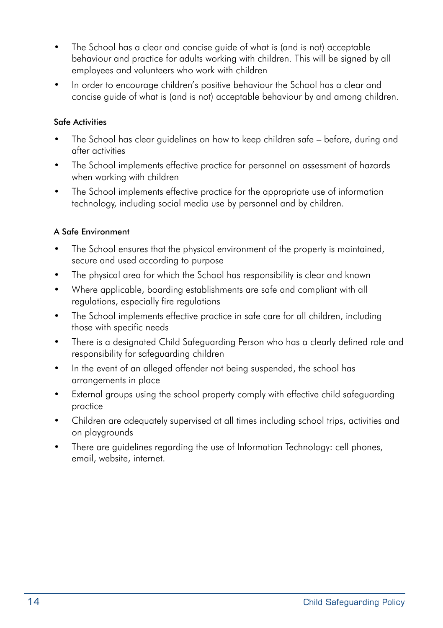- The School has a clear and concise auide of what is (and is not) acceptable behaviour and practice for adults working with children. This will be signed by all employees and volunteers who work with children
- In order to encourage children's positive behaviour the School has a clear and concise guide of what is (and is not) acceptable behaviour by and among children.

#### Safe Activities

- The School has clear guidelines on how to keep children safe before, during and after activities
- The School implements effective practice for personnel on assessment of hazards when working with children
- The School implements effective practice for the appropriate use of information technology, including social media use by personnel and by children.

#### A Safe Environment

- The School ensures that the physical environment of the property is maintained, secure and used according to purpose
- The physical area for which the School has responsibility is clear and known
- Where applicable, boarding establishments are safe and compliant with all regulations, especially fire regulations
- The School implements effective practice in safe care for all children, including those with specific needs
- There is a designated Child Safeguarding Person who has a clearly defined role and responsibility for safeguarding children
- In the event of an alleged offender not being suspended, the school has arrangements in place
- External groups using the school property comply with effective child safeguarding practice
- • Children are adequately supervised at all times including school trips, activities and on playgrounds
- There are guidelines regarding the use of Information Technology: cell phones, email, website, internet.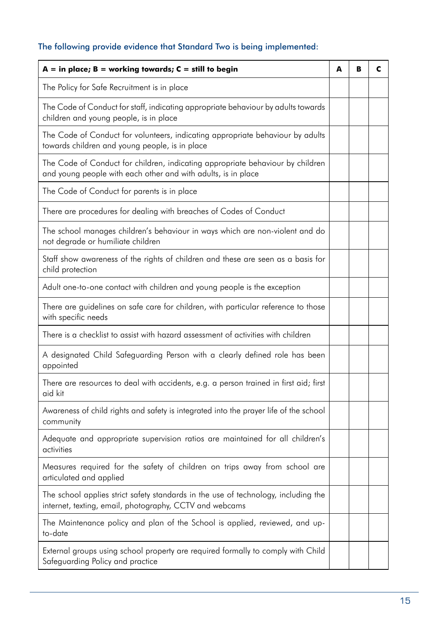#### The following provide evidence that Standard Two is being implemented:

| $A = in place; B = working towards; C = still to begin$                                                                                         | A | B | C |
|-------------------------------------------------------------------------------------------------------------------------------------------------|---|---|---|
| The Policy for Safe Recruitment is in place                                                                                                     |   |   |   |
| The Code of Conduct for staff, indicating appropriate behaviour by adults towards<br>children and young people, is in place                     |   |   |   |
| The Code of Conduct for volunteers, indicating appropriate behaviour by adults<br>towards children and young people, is in place                |   |   |   |
| The Code of Conduct for children, indicating appropriate behaviour by children<br>and young people with each other and with adults, is in place |   |   |   |
| The Code of Conduct for parents is in place                                                                                                     |   |   |   |
| There are procedures for dealing with breaches of Codes of Conduct                                                                              |   |   |   |
| The school manages children's behaviour in ways which are non-violent and do<br>not degrade or humiliate children                               |   |   |   |
| Staff show awareness of the rights of children and these are seen as a basis for<br>child protection                                            |   |   |   |
| Adult one-to-one contact with children and young people is the exception                                                                        |   |   |   |
| There are guidelines on safe care for children, with particular reference to those<br>with specific needs                                       |   |   |   |
| There is a checklist to assist with hazard assessment of activities with children                                                               |   |   |   |
| A designated Child Safeguarding Person with a clearly defined role has been<br>appointed                                                        |   |   |   |
| There are resources to deal with accidents, e.g. a person trained in first aid; first<br>aid kit                                                |   |   |   |
| Awareness of child rights and safety is integrated into the prayer life of the school<br>community                                              |   |   |   |
| Adequate and appropriate supervision ratios are maintained for all children's<br>activities                                                     |   |   |   |
| Measures required for the safety of children on trips away from school are<br>articulated and applied                                           |   |   |   |
| The school applies strict safety standards in the use of technology, including the<br>internet, texting, email, photography, CCTV and webcams   |   |   |   |
| The Maintenance policy and plan of the School is applied, reviewed, and up-<br>to-date                                                          |   |   |   |
| External groups using school property are required formally to comply with Child<br>Safeguarding Policy and practice                            |   |   |   |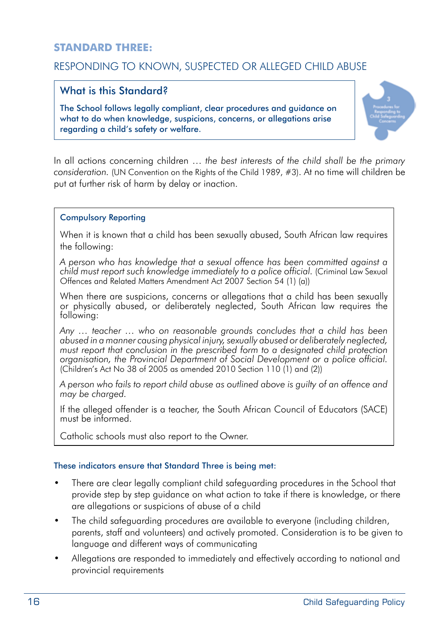#### **STANDARD THREE:**

#### RESPONDING TO KNOWN, SUSPECTED OR ALLEGED CHILD ABUSE

#### What is this Standard?

The School follows legally compliant, clear procedures and guidance on what to do when knowledge, suspicions, concerns, or allegations arise regarding a child's safety or welfare.



In all actions concerning children … *the best interests of the child shall be the primary consideration.* (UN Convention on the Rights of the Child 1989, #3). At no time will children be put at further risk of harm by delay or inaction.

#### Compulsory Reporting

When it is known that a child has been sexually abused, South African law requires the following:

*A person who has knowledge that a sexual offence has been committed against a child must report such knowledge immediately to a police official.* (Criminal Law Sexual Offences and Related Matters Amendment Act 2007 Section 54 (1) (a))

When there are suspicions, concerns or allegations that a child has been sexually or physically abused, or deliberately neglected, South African law requires the following:

*Any … teacher … who on reasonable grounds concludes that a child has been abused in a manner causing physical injury, sexually abused or deliberately neglected,*  must report that conclusion in the prescribed form to a designated child protection *organisation, the Provincial Department of Social Development or a police official.*   $(Children's Act No 38 of 2005 as amended 2010 Section 110 (1) and (2)$ 

*A person who fails to report child abuse as outlined above is guilty of an offence and may be charged.*

If the alleged offender is a teacher, the South African Council of Educators (SACE) must be informed.

Catholic schools must also report to the Owner.

#### These indicators ensure that Standard Three is being met:

- There are clear legally compliant child safeguarding procedures in the School that provide step by step guidance on what action to take if there is knowledge, or there are allegations or suspicions of abuse of a child
- The child safeguarding procedures are available to everyone (including children, parents, staff and volunteers) and actively promoted. Consideration is to be given to language and different ways of communicating
- Allegations are responded to immediately and effectively according to national and provincial requirements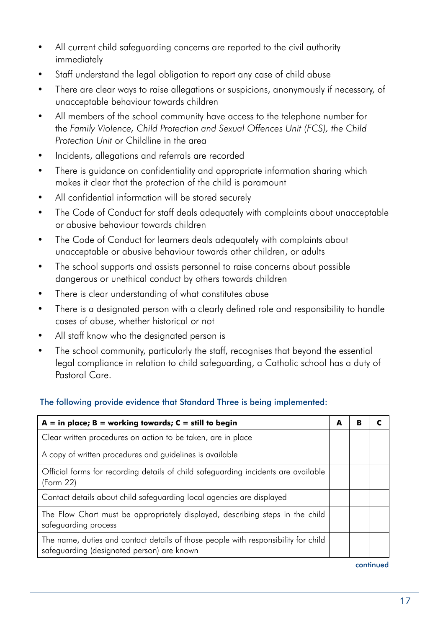- All current child safeguarding concerns are reported to the civil authority immediately
- Staff understand the legal obligation to report any case of child abuse
- There are clear ways to raise allegations or suspicions, anonymously if necessary, of unacceptable behaviour towards children
- All members of the school community have access to the telephone number for the *Family Violence, Child Protection and Sexual Offences Unit (FCS), the Child Protection Unit* or Childline in the area
- Incidents, allegations and referrals are recorded
- There is guidance on confidentiality and appropriate information sharing which makes it clear that the protection of the child is paramount
- All confidential information will be stored securely
- The Code of Conduct for staff deals adequately with complaints about unacceptable or abusive behaviour towards children
- The Code of Conduct for learners deals adequately with complaints about unacceptable or abusive behaviour towards other children, or adults
- The school supports and assists personnel to raise concerns about possible dangerous or unethical conduct by others towards children
- There is clear understanding of what constitutes abuse
- There is a designated person with a clearly defined role and responsibility to handle cases of abuse, whether historical or not
- All staff know who the designated person is
- The school community, particularly the staff, recognises that beyond the essential legal compliance in relation to child safeguarding, a Catholic school has a duty of Pastoral Care.

#### The following provide evidence that Standard Three is being implemented:

| $A = in place; B = working towards; C = still to begin$                                                                          | A | в |  |
|----------------------------------------------------------------------------------------------------------------------------------|---|---|--|
| Clear written procedures on action to be taken, are in place                                                                     |   |   |  |
| A copy of written procedures and guidelines is available                                                                         |   |   |  |
| Official forms for recording details of child safeguarding incidents are available<br>(Form 22)                                  |   |   |  |
| Contact details about child safeguarding local agencies are displayed                                                            |   |   |  |
| The Flow Chart must be appropriately displayed, describing steps in the child<br>safeguarding process                            |   |   |  |
| The name, duties and contact details of those people with responsibility for child<br>safeguarding (designated person) are known |   |   |  |

continued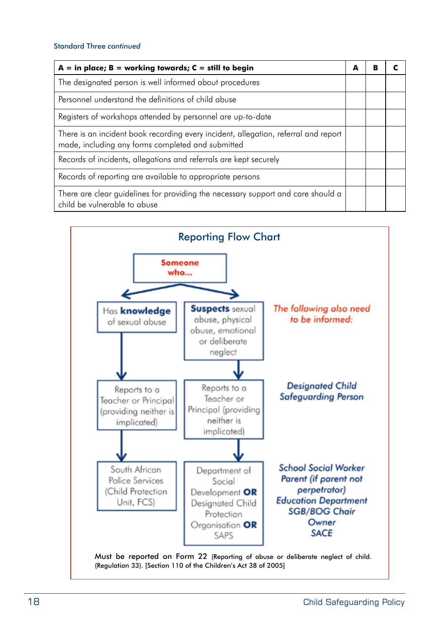#### Standard Three *continued*

| $A = in place; B = working towards; C = still to begin$                                                                                  | A | в |  |
|------------------------------------------------------------------------------------------------------------------------------------------|---|---|--|
| The designated person is well informed about procedures                                                                                  |   |   |  |
| Personnel understand the definitions of child abuse                                                                                      |   |   |  |
| Registers of workshops attended by personnel are up-to-date                                                                              |   |   |  |
| There is an incident book recording every incident, allegation, referral and report<br>made, including any forms completed and submitted |   |   |  |
| Records of incidents, allegations and referrals are kept securely                                                                        |   |   |  |
| Records of reporting are available to appropriate persons                                                                                |   |   |  |
| There are clear guidelines for providing the necessary support and care should a<br>child be vulnerable to abuse                         |   |   |  |

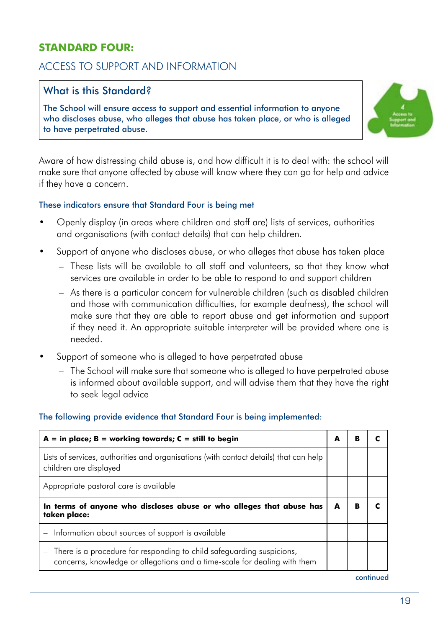#### **STANDARD FOUR:**

#### ACCESS TO SUPPORT AND INFORMATION

#### What is this Standard?

The School will ensure access to support and essential information to anyone who discloses abuse, who alleges that abuse has taken place, or who is alleged to have perpetrated abuse.



Aware of how distressing child abuse is, and how difficult it is to deal with: the school will make sure that anyone affected by abuse will know where they can go for help and advice if they have a concern.

#### These indicators ensure that Standard Four is being met

- • Openly display (in areas where children and staff are) lists of services, authorities and organisations (with contact details) that can help children.
- Support of anyone who discloses abuse, or who alleges that abuse has taken place
	- – These lists will be available to all staff and volunteers, so that they know what services are available in order to be able to respond to and support children
	- $-$  As there is a particular concern for vulnerable children (such as disabled children and those with communication difficulties, for example deafness), the school will make sure that they are able to report abuse and get information and support if they need it. An appropriate suitable interpreter will be provided where one is needed.
- Support of someone who is alleged to have perpetrated abuse
	- The School will make sure that someone who is alleged to have perpetrated abuse is informed about available support, and will advise them that they have the right to seek legal advice

#### The following provide evidence that Standard Four is being implemented:

| $A = in place; B = working towards; C = still to begin$                                                                                            | А | в |  |
|----------------------------------------------------------------------------------------------------------------------------------------------------|---|---|--|
| Lists of services, authorities and organisations (with contact details) that can help<br>children are displayed                                    |   |   |  |
| Appropriate pastoral care is available                                                                                                             |   |   |  |
| In terms of anyone who discloses abuse or who alleges that abuse has<br>taken place:                                                               | A | в |  |
| - Information about sources of support is available                                                                                                |   |   |  |
| There is a procedure for responding to child safeguarding suspicions,<br>concerns, knowledge or allegations and a time-scale for dealing with them |   |   |  |

continued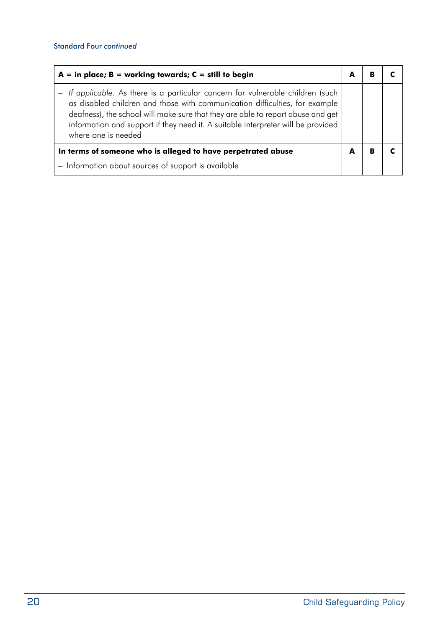| $A = in place; B = working towards; C = still to begin$                                                                                                                                                                                                                                                                                                    |   |   |  |
|------------------------------------------------------------------------------------------------------------------------------------------------------------------------------------------------------------------------------------------------------------------------------------------------------------------------------------------------------------|---|---|--|
| If applicable. As there is a particular concern for vulnerable children (such<br>as disabled children and those with communication difficulties, for example<br>deafness), the school will make sure that they are able to report abuse and get<br>information and support if they need it. A suitable interpreter will be provided<br>where one is needed |   |   |  |
| In terms of someone who is alleged to have perpetrated abuse                                                                                                                                                                                                                                                                                               | A | в |  |
| - Information about sources of support is available                                                                                                                                                                                                                                                                                                        |   |   |  |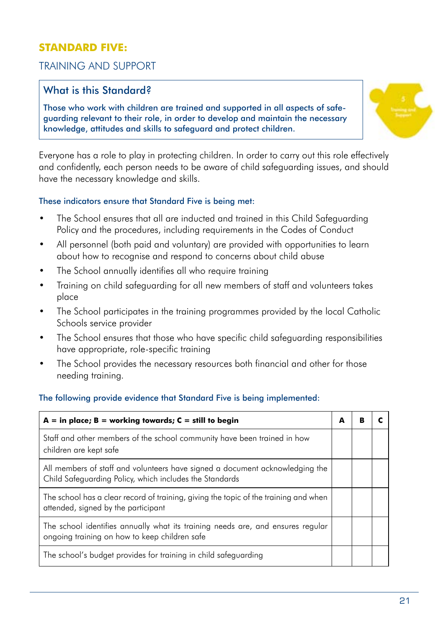#### **STANDARD FIVE:**

#### TRAINING AND SUPPORT

#### What is this Standard?

Those who work with children are trained and supported in all aspects of safeguarding relevant to their role, in order to develop and maintain the necessary knowledge, attitudes and skills to safeguard and protect children.



Everyone has a role to play in protecting children. In order to carry out this role effectively and confidently, each person needs to be aware of child safeguarding issues, and should have the necessary knowledge and skills.

#### These indicators ensure that Standard Five is being met:

- The School ensures that all are inducted and trained in this Child Safeguarding Policy and the procedures, including requirements in the Codes of Conduct
- All personnel (both paid and voluntary) are provided with opportunities to learn about how to recognise and respond to concerns about child abuse
- The School annually identifies all who require training
- Training on child safeguarding for all new members of staff and volunteers takes place
- The School participates in the training programmes provided by the local Catholic Schools service provider
- The School ensures that those who have specific child safeguarding responsibilities have appropriate, role-specific training
- The School provides the necessary resources both financial and other for those needing training.

#### The following provide evidence that Standard Five is being implemented:

| $A = in place; B = working towards; C = still to begin$                                                                                 | А |  |
|-----------------------------------------------------------------------------------------------------------------------------------------|---|--|
| Staff and other members of the school community have been trained in how<br>children are kept safe                                      |   |  |
| All members of staff and volunteers have signed a document acknowledging the<br>Child Safeguarding Policy, which includes the Standards |   |  |
| The school has a clear record of training, giving the topic of the training and when<br>attended, signed by the participant             |   |  |
| The school identifies annually what its training needs are, and ensures regular<br>ongoing training on how to keep children safe        |   |  |
| The school's budget provides for training in child safeguarding                                                                         |   |  |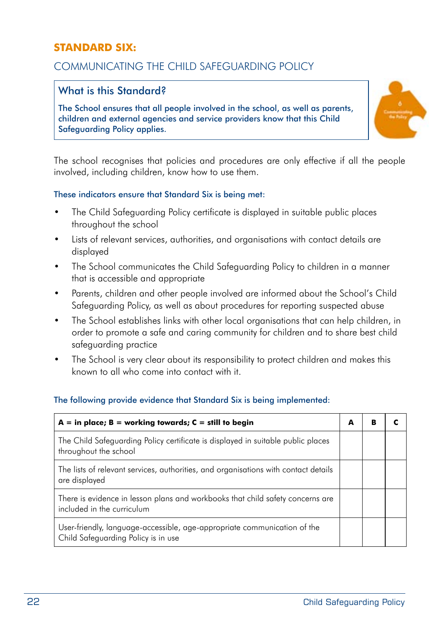#### **STANDARD SIX:**

#### COMMUNICATING THE CHILD SAFEGUARDING POLICY

#### What is this Standard?

The School ensures that all people involved in the school, as well as parents, children and external agencies and service providers know that this Child Safeguarding Policy applies.



The school recognises that policies and procedures are only effective if all the people involved, including children, know how to use them.

#### These indicators ensure that Standard Six is being met:

- The Child Safeguarding Policy certificate is displayed in suitable public places throughout the school
- Lists of relevant services, authorities, and organisations with contact details are displayed
- The School communicates the Child Safeguarding Policy to children in a manner that is accessible and appropriate
- Parents, children and other people involved are informed about the School's Child Safeguarding Policy, as well as about procedures for reporting suspected abuse
- The School establishes links with other local organisations that can help children, in order to promote a safe and caring community for children and to share best child safeguarding practice
- The School is very clear about its responsibility to protect children and makes this known to all who come into contact with it.

#### The following provide evidence that Standard Six is being implemented:

| $A = in place; B = working towards; C = still to begin$                                                         | A | в |  |
|-----------------------------------------------------------------------------------------------------------------|---|---|--|
| The Child Safeguarding Policy certificate is displayed in suitable public places<br>throughout the school       |   |   |  |
| The lists of relevant services, authorities, and organisations with contact details<br>are displayed            |   |   |  |
| There is evidence in lesson plans and workbooks that child safety concerns are<br>included in the curriculum    |   |   |  |
| User-friendly, language-accessible, age-appropriate communication of the<br>Child Safeguarding Policy is in use |   |   |  |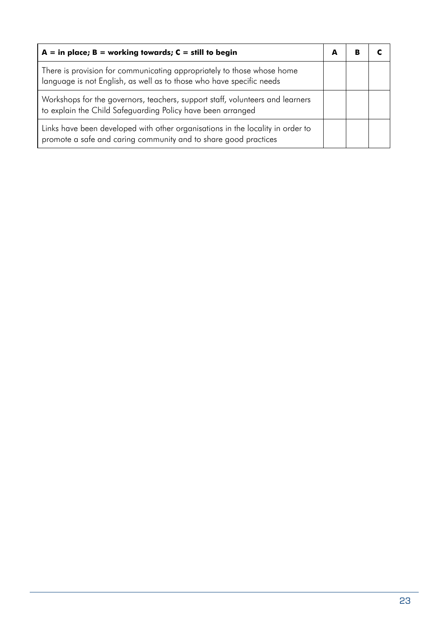| $A = in place; B = working towards; C = still to begin$                                                                                           |  |  |
|---------------------------------------------------------------------------------------------------------------------------------------------------|--|--|
| There is provision for communicating appropriately to those whose home<br>language is not English, as well as to those who have specific needs    |  |  |
| Workshops for the governors, teachers, support staff, volunteers and learners<br>to explain the Child Safeguarding Policy have been arranged      |  |  |
| Links have been developed with other organisations in the locality in order to<br>promote a safe and caring community and to share good practices |  |  |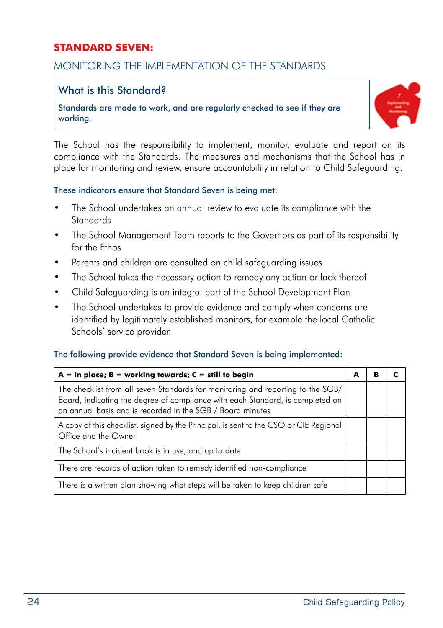#### **STANDARD SEVEN:**

#### MONITORING THE IMPLEMENTATION OF THE STANDARDS

#### What is this Standard?

Standards are made to work, and are regularly checked to see if they are working.



The School has the responsibility to implement, monitor, evaluate and report on its compliance with the Standards. The measures and mechanisms that the School has in place for monitoring and review, ensure accountability in relation to Child Safeguarding.

#### These indicators ensure that Standard Seven is being met:

- The School undertakes an annual review to evaluate its compliance with the Standards
- The School Management Team reports to the Governors as part of its responsibility for the Ethos
- Parents and children are consulted on child safeguarding issues
- The School takes the necessary action to remedy any action or lack thereof
- Child Safeguarding is an integral part of the School Development Plan
- The School undertakes to provide evidence and comply when concerns are identified by legitimately established monitors, for example the local Catholic Schools' service provider.

#### The following provide evidence that Standard Seven is being implemented:

| $A = in place; B = working towards; C = still to begin$                                                                                                                                                                         | A | в |  |
|---------------------------------------------------------------------------------------------------------------------------------------------------------------------------------------------------------------------------------|---|---|--|
| The checklist from all seven Standards for monitoring and reporting to the SGB/<br>Board, indicating the degree of compliance with each Standard, is completed on<br>an annual basis and is recorded in the SGB / Board minutes |   |   |  |
| A copy of this checklist, signed by the Principal, is sent to the CSO or CIE Regional<br>Office and the Owner                                                                                                                   |   |   |  |
| The School's incident book is in use, and up to date                                                                                                                                                                            |   |   |  |
| There are records of action taken to remedy identified non-compliance                                                                                                                                                           |   |   |  |
| There is a written plan showing what steps will be taken to keep children safe                                                                                                                                                  |   |   |  |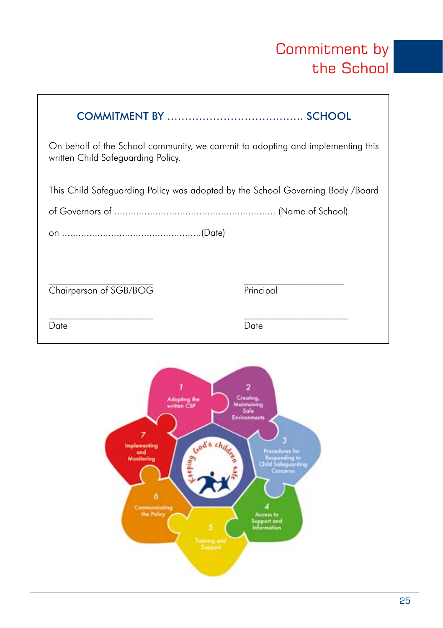### Commitment by the School

| On behalf of the School community, we commit to adopting and implementing this<br>written Child Safeguarding Policy. |           |
|----------------------------------------------------------------------------------------------------------------------|-----------|
| This Child Sateguarding Policy was adopted by the School Governing Body /Board                                       |           |
|                                                                                                                      |           |
|                                                                                                                      |           |
|                                                                                                                      |           |
| Chairperson of SGB/BOG                                                                                               | Principal |
| Date                                                                                                                 | Date      |

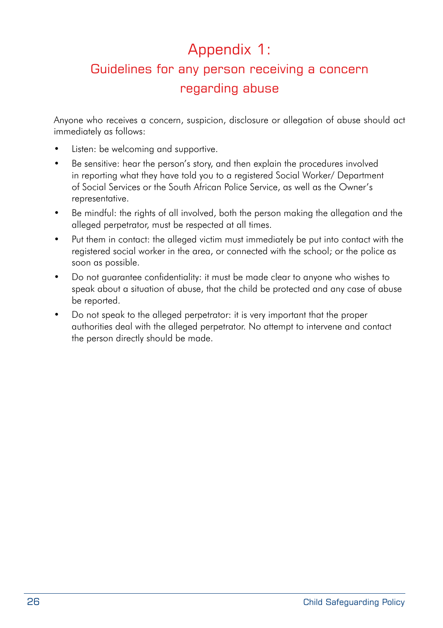### Appendix 1:

### Guidelines for any person receiving a concern regarding abuse

Anyone who receives a concern, suspicion, disclosure or allegation of abuse should act immediately as follows:

- Listen: be welcoming and supportive.
- Be sensitive: hear the person's story, and then explain the procedures involved in reporting what they have told you to a registered Social Worker/ Department of Social Services or the South African Police Service, as well as the Owner's representative.
- Be mindful: the rights of all involved, both the person making the allegation and the alleged perpetrator, must be respected at all times.
- • Put them in contact: the alleged victim must immediately be put into contact with the registered social worker in the area, or connected with the school; or the police as soon as possible.
- Do not guarantee confidentiality: it must be made clear to anyone who wishes to speak about a situation of abuse, that the child be protected and any case of abuse be reported.
- Do not speak to the alleged perpetrator: it is very important that the proper authorities deal with the alleged perpetrator. No attempt to intervene and contact the person directly should be made.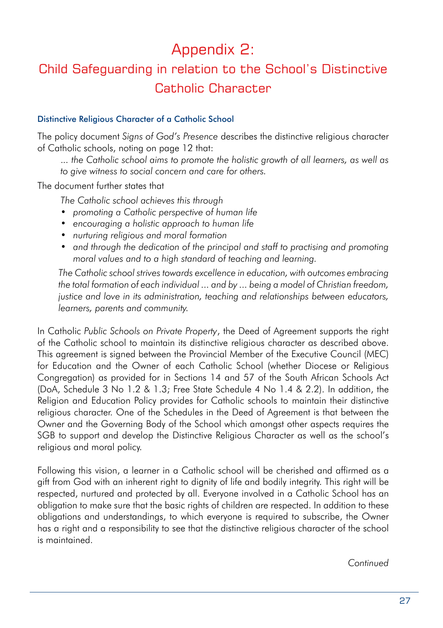### Appendix 2:

### Child Safeguarding in relation to the School's Distinctive Catholic Character

#### Distinctive Religious Character of a Catholic School

The policy document *Signs of God's Presence* describes the distinctive religious character of Catholic schools, noting on page 12 that:

.*.. the Catholic school aims to promote the holistic growth of all learners, as well as to give witness to social concern and care for others.* 

The document further states that

*The Catholic school achieves this through*

- *• promoting a Catholic perspective of human life*
- *• encouraging a holistic approach to human life*
- *• nurturing religious and moral formation*
- *• and through the dedication of the principal and staff to practising and promoting moral values and to a high standard of teaching and learning.*

*The Catholic school strives towards excellence in education, with outcomes embracing the total formation of each individual ... and by ... being a model of Christian freedom, justice and love in its administration, teaching and relationships between educators, learners, parents and community.* 

In Catholic *Public Schools on Private Property*, the Deed of Agreement supports the right of the Catholic school to maintain its distinctive religious character as described above. This agreement is signed between the Provincial Member of the Executive Council (MEC) for Education and the Owner of each Catholic School (whether Diocese or Religious Congregation) as provided for in Sections 14 and 57 of the South African Schools Act (DoA, Schedule 3 No 1.2 & 1.3; Free State Schedule 4 No 1.4 & 2.2). In addition, the Religion and Education Policy provides for Catholic schools to maintain their distinctive religious character. One of the Schedules in the Deed of Agreement is that between the Owner and the Governing Body of the School which amongst other aspects requires the SGB to support and develop the Distinctive Religious Character as well as the school's religious and moral policy.

Following this vision, a learner in a Catholic school will be cherished and affirmed as a gift from God with an inherent right to dignity of life and bodily integrity. This right will be respected, nurtured and protected by all. Everyone involved in a Catholic School has an obligation to make sure that the basic rights of children are respected. In addition to these obligations and understandings, to which everyone is required to subscribe, the Owner has a right and a responsibility to see that the distinctive religious character of the school is maintained.

*Continued*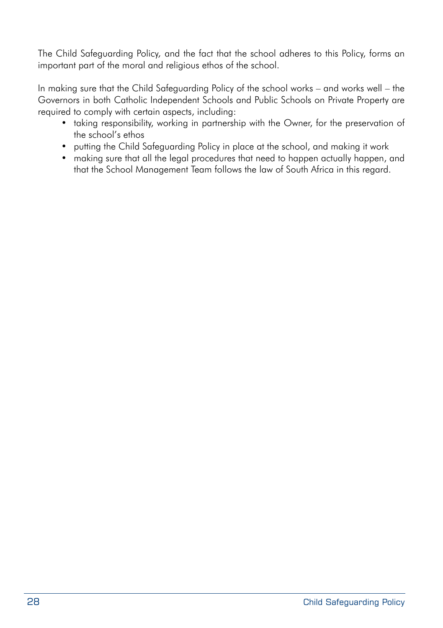The Child Safeguarding Policy*,* and the fact that the school adheres to this Policy, forms an important part of the moral and religious ethos of the school.

In making sure that the Child Safeguarding Policy of the school works – and works well – the Governors in both Catholic Independent Schools and Public Schools on Private Property are required to comply with certain aspects, including:

- taking responsibility, working in partnership with the Owner, for the preservation of the school's ethos
- putting the Child Safeguarding Policy in place at the school, and making it work
- making sure that all the legal procedures that need to happen actually happen, and that the School Management Team follows the law of South Africa in this regard.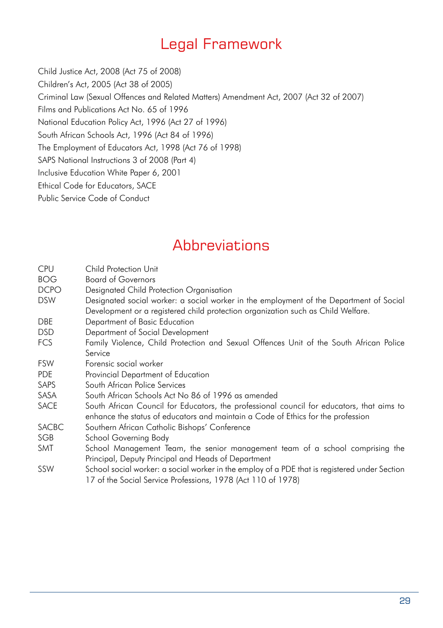### Legal Framework

Child Justice Act, 2008 (Act 75 of 2008) Children's Act, 2005 (Act 38 of 2005) Criminal Law (Sexual Offences and Related Matters) Amendment Act, 2007 (Act 32 of 2007) Films and Publications Act No. 65 of 1996 National Education Policy Act, 1996 (Act 27 of 1996) South African Schools Act, 1996 (Act 84 of 1996) The Employment of Educators Act, 1998 (Act 76 of 1998) SAPS National Instructions 3 of 2008 (Part 4) Inclusive Education White Paper 6, 2001 Ethical Code for Educators, SACE Public Service Code of Conduct

### **Abbreviations**

- CPU Child Protection Unit
- BOG Board of Governors
- DCPO Designated Child Protection Organisation
- DSW Designated social worker: a social worker in the employment of the Department of Social Development or a registered child protection organization such as Child Welfare.
- DBE Department of Basic Education
- DSD Department of Social Development
- FCS Family Violence, Child Protection and Sexual Offences Unit of the South African Police Service
- FSW Forensic social worker
- PDE Provincial Department of Education
- SAPS South African Police Services
- SASA South African Schools Act No 86 of 1996 as amended
- SACE South African Council for Educators, the professional council for educators, that aims to enhance the status of educators and maintain a Code of Ethics for the profession
- SACBC Southern African Catholic Bishops' Conference
- SGB School Governing Body
- SMT School Management Team, the senior management team of a school comprising the Principal, Deputy Principal and Heads of Department
- SSW School social worker: a social worker in the employ of a PDE that is registered under Section 17 of the Social Service Professions, 1978 (Act 110 of 1978)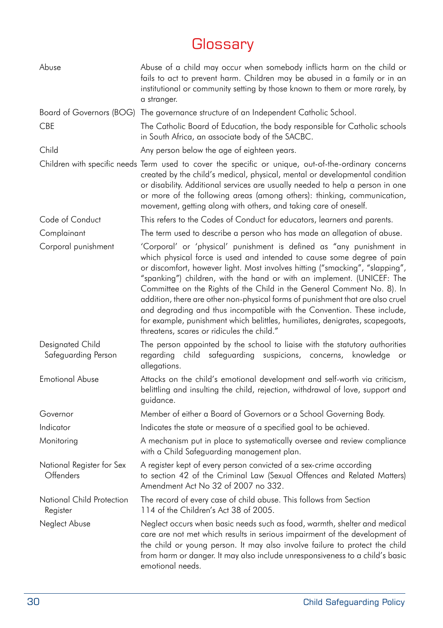### **Glossary**

| Abuse                                   | Abuse of a child may occur when somebody inflicts harm on the child or<br>fails to act to prevent harm. Children may be abused in a family or in an<br>institutional or community setting by those known to them or more rarely, by<br>a stranger.                                                                                                                                                                                                                                                                                                                                                                                                                            |
|-----------------------------------------|-------------------------------------------------------------------------------------------------------------------------------------------------------------------------------------------------------------------------------------------------------------------------------------------------------------------------------------------------------------------------------------------------------------------------------------------------------------------------------------------------------------------------------------------------------------------------------------------------------------------------------------------------------------------------------|
|                                         | Board of Governors (BOG) The governance structure of an Independent Catholic School.                                                                                                                                                                                                                                                                                                                                                                                                                                                                                                                                                                                          |
| <b>CBE</b>                              | The Catholic Board of Education, the body responsible for Catholic schools<br>in South Africa, an associate body of the SACBC.                                                                                                                                                                                                                                                                                                                                                                                                                                                                                                                                                |
| Child                                   | Any person below the age of eighteen years.                                                                                                                                                                                                                                                                                                                                                                                                                                                                                                                                                                                                                                   |
|                                         | Children with specific needs Term used to cover the specific or unique, out-of-the-ordinary concerns<br>created by the child's medical, physical, mental or developmental condition<br>or disability. Additional services are usually needed to help a person in one<br>or more of the following areas (among others): thinking, communication,<br>movement, getting along with others, and taking care of oneself.                                                                                                                                                                                                                                                           |
| Code of Conduct                         | This refers to the Codes of Conduct for educators, learners and parents.                                                                                                                                                                                                                                                                                                                                                                                                                                                                                                                                                                                                      |
| Complainant                             | The term used to describe a person who has made an allegation of abuse.                                                                                                                                                                                                                                                                                                                                                                                                                                                                                                                                                                                                       |
| Corporal punishment                     | 'Corporal' or 'physical' punishment is defined as "any punishment in<br>which physical force is used and intended to cause some degree of pain<br>or discomfort, however light. Most involves hitting ("smacking", "slapping",<br>"spanking") children, with the hand or with an implement. (UNICEF: The<br>Committee on the Rights of the Child in the General Comment No. 8). In<br>addition, there are other non-physical forms of punishment that are also cruel<br>and degrading and thus incompatible with the Convention. These include,<br>for example, punishment which belittles, humiliates, denigrates, scapegoats,<br>threatens, scares or ridicules the child." |
| Designated Child<br>Safeguarding Person | The person appointed by the school to liaise with the statutory authorities<br>safeguarding suspicions, concerns,<br>regarding<br>child<br>knowledge<br>or<br>allegations.                                                                                                                                                                                                                                                                                                                                                                                                                                                                                                    |
| <b>Emotional Abuse</b>                  | Attacks on the child's emotional development and self-worth via criticism,<br>belittling and insulting the child, rejection, withdrawal of love, support and<br>guidance.                                                                                                                                                                                                                                                                                                                                                                                                                                                                                                     |
| Governor                                | Member of either a Board of Governors or a School Governing Body.                                                                                                                                                                                                                                                                                                                                                                                                                                                                                                                                                                                                             |
| Indicator                               | Indicates the state or measure of a specified goal to be achieved.                                                                                                                                                                                                                                                                                                                                                                                                                                                                                                                                                                                                            |
| Monitoring                              | A mechanism put in place to systematically oversee and review compliance<br>with a Child Safeguarding management plan.                                                                                                                                                                                                                                                                                                                                                                                                                                                                                                                                                        |
| National Register for Sex<br>Offenders  | A register kept of every person convicted of a sex-crime according<br>to section 42 of the Criminal Law (Sexual Offences and Related Matters)<br>Amendment Act No 32 of 2007 no 332.                                                                                                                                                                                                                                                                                                                                                                                                                                                                                          |
| National Child Protection<br>Register   | The record of every case of child abuse. This follows from Section<br>114 of the Children's Act 38 of 2005.                                                                                                                                                                                                                                                                                                                                                                                                                                                                                                                                                                   |
| Neglect Abuse                           | Neglect occurs when basic needs such as food, warmth, shelter and medical<br>care are not met which results in serious impairment of the development of<br>the child or young person. It may also involve failure to protect the child<br>from harm or danger. It may also include unresponsiveness to a child's basic<br>emotional needs.                                                                                                                                                                                                                                                                                                                                    |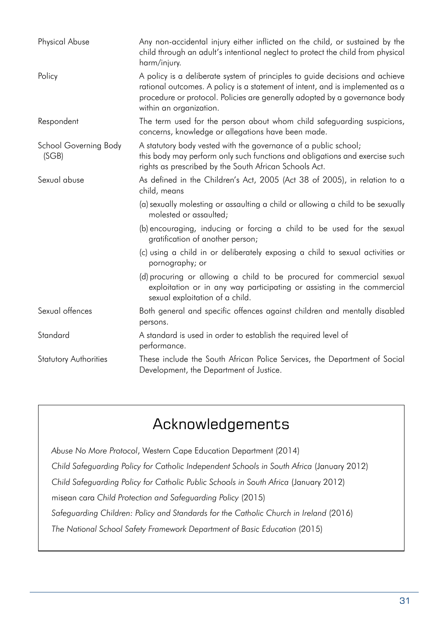| Physical Abuse                 | Any non-accidental injury either inflicted on the child, or sustained by the<br>child through an adult's intentional neglect to protect the child from physical<br>harm/injury.                                                                                        |
|--------------------------------|------------------------------------------------------------------------------------------------------------------------------------------------------------------------------------------------------------------------------------------------------------------------|
| Policy                         | A policy is a deliberate system of principles to guide decisions and achieve<br>rational outcomes. A policy is a statement of intent, and is implemented as a<br>procedure or protocol. Policies are generally adopted by a governance body<br>within an organization. |
| Respondent                     | The term used for the person about whom child safeguarding suspicions,<br>concerns, knowledge or allegations have been made.                                                                                                                                           |
| School Governing Body<br>(SGB) | A statutory body vested with the governance of a public school;<br>this body may perform only such functions and obligations and exercise such<br>rights as prescribed by the South African Schools Act.                                                               |
| Sexual abuse                   | As defined in the Children's Act, 2005 (Act 38 of 2005), in relation to a<br>child, means                                                                                                                                                                              |
|                                | (a) sexually molesting or assaulting a child or allowing a child to be sexually<br>molested or assaulted:                                                                                                                                                              |
|                                | (b) encouraging, inducing or forcing a child to be used for the sexual<br>gratification of another person;                                                                                                                                                             |
|                                | (c) using a child in or deliberately exposing a child to sexual activities or<br>pornography; or                                                                                                                                                                       |
|                                | (d) procuring or allowing a child to be procured for commercial sexual<br>exploitation or in any way participating or assisting in the commercial<br>sexual exploitation of a child.                                                                                   |
| Sexual offences                | Both general and specific offences against children and mentally disabled<br>persons.                                                                                                                                                                                  |
| Standard                       | A standard is used in order to establish the required level of<br>performance.                                                                                                                                                                                         |
| <b>Statutory Authorities</b>   | These include the South African Police Services, the Department of Social<br>Development, the Department of Justice.                                                                                                                                                   |

### Acknowledgements

*Abuse No More Protocol*, Western Cape Education Department (2014) *Child Safeguarding Policy for Catholic Independent Schools in South Africa* (January 2012) *Child Safeguarding Policy for Catholic Public Schools in South Africa* (January 2012) misean cara *Child Protection and Safeguarding Policy* (2015) *Safeguarding Children: Policy and Standards for the Catholic Church in Ireland* (2016) *The National School Safety Framework Department of Basic Education* (2015)